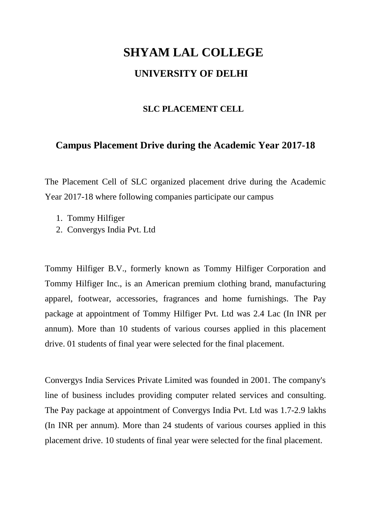## **SHYAM LAL COLLEGE UNIVERSITY OF DELHI**

## **SLC PLACEMENT CELL**

## **Campus Placement Drive during the Academic Year 2017-18**

The Placement Cell of SLC organized placement drive during the Academic Year 2017-18 where following companies participate our campus

- 1. Tommy Hilfiger
- 2. Convergys India Pvt. Ltd

Tommy Hilfiger B.V., formerly known as Tommy Hilfiger Corporation and Tommy Hilfiger Inc., is an American premium clothing brand, manufacturing apparel, footwear, accessories, fragrances and home furnishings. The Pay package at appointment of Tommy Hilfiger Pvt. Ltd was 2.4 Lac (In INR per annum). More than 10 students of various courses applied in this placement drive. 01 students of final year were selected for the final placement.

Convergys India Services Private Limited was founded in 2001. The company's line of business includes providing computer related services and consulting. The Pay package at appointment of Convergys India Pvt. Ltd was 1.7-2.9 lakhs (In INR per annum). More than 24 students of various courses applied in this placement drive. 10 students of final year were selected for the final placement.